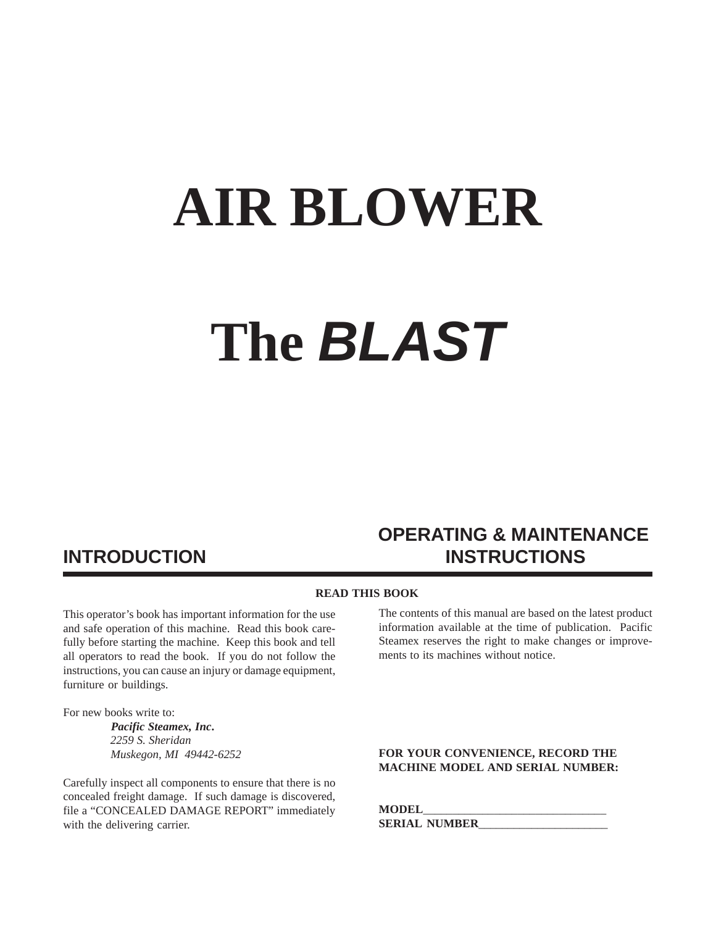# **AIR BLOWER The** *BLAST*

# **OPERATING & MAINTENANCE INTRODUCTION INSTRUCTIONS**

#### **READ THIS BOOK**

This operator's book has important information for the use and safe operation of this machine. Read this book carefully before starting the machine. Keep this book and tell all operators to read the book. If you do not follow the instructions, you can cause an injury or damage equipment, furniture or buildings.

For new books write to:

 *Pacific Steamex, Inc***.**  *2259 S. Sheridan Muskegon, MI 49442-6252*

Carefully inspect all components to ensure that there is no concealed freight damage. If such damage is discovered, file a "CONCEALED DAMAGE REPORT" immediately with the delivering carrier.

The contents of this manual are based on the latest product information available at the time of publication. Pacific Steamex reserves the right to make changes or improvements to its machines without notice.

#### **FOR YOUR CONVENIENCE, RECORD THE MACHINE MODEL AND SERIAL NUMBER:**

**MODEL**\_\_\_\_\_\_\_\_\_\_\_\_\_\_\_\_\_\_\_\_\_\_\_\_\_\_\_\_\_\_\_ **SERIAL NUMBER**\_\_\_\_\_\_\_\_\_\_\_\_\_\_\_\_\_\_\_\_\_\_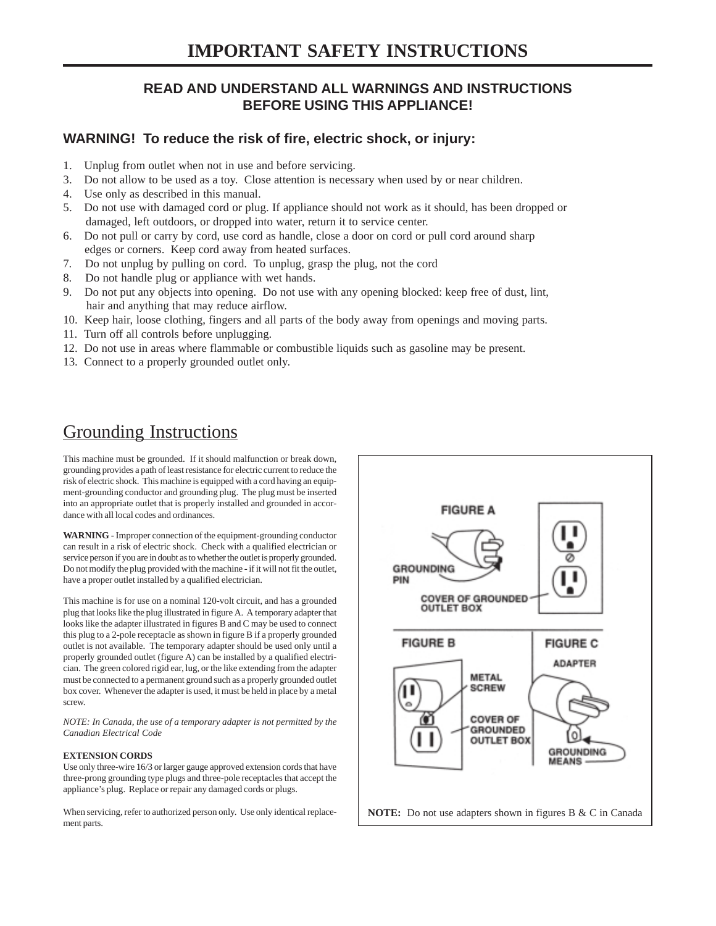#### **READ AND UNDERSTAND ALL WARNINGS AND INSTRUCTIONS BEFORE USING THIS APPLIANCE!**

#### **WARNING! To reduce the risk of fire, electric shock, or injury:**

- 1. Unplug from outlet when not in use and before servicing.
- 3. Do not allow to be used as a toy. Close attention is necessary when used by or near children.
- 4. Use only as described in this manual.
- 5. Do not use with damaged cord or plug. If appliance should not work as it should, has been dropped or damaged, left outdoors, or dropped into water, return it to service center.
- 6. Do not pull or carry by cord, use cord as handle, close a door on cord or pull cord around sharp edges or corners. Keep cord away from heated surfaces.
- 7. Do not unplug by pulling on cord. To unplug, grasp the plug, not the cord
- 8. Do not handle plug or appliance with wet hands.
- 9. Do not put any objects into opening. Do not use with any opening blocked: keep free of dust, lint, hair and anything that may reduce airflow.
- 10. Keep hair, loose clothing, fingers and all parts of the body away from openings and moving parts.
- 11. Turn off all controls before unplugging.
- 12. Do not use in areas where flammable or combustible liquids such as gasoline may be present.
- 13. Connect to a properly grounded outlet only.

## Grounding Instructions

This machine must be grounded. If it should malfunction or break down, grounding provides a path of least resistance for electric current to reduce the risk of electric shock. This machine is equipped with a cord having an equipment-grounding conductor and grounding plug. The plug must be inserted into an appropriate outlet that is properly installed and grounded in accordance with all local codes and ordinances.

**WARNING** - Improper connection of the equipment-grounding conductor can result in a risk of electric shock. Check with a qualified electrician or service person if you are in doubt as to whether the outlet is properly grounded. Do not modify the plug provided with the machine - if it will not fit the outlet, have a proper outlet installed by a qualified electrician.

This machine is for use on a nominal 120-volt circuit, and has a grounded plug that looks like the plug illustrated in figure A. A temporary adapter that looks like the adapter illustrated in figures B and C may be used to connect this plug to a 2-pole receptacle as shown in figure B if a properly grounded outlet is not available. The temporary adapter should be used only until a properly grounded outlet (figure A) can be installed by a qualified electrician. The green colored rigid ear, lug, or the like extending from the adapter must be connected to a permanent ground such as a properly grounded outlet box cover. Whenever the adapter is used, it must be held in place by a metal screw.

*NOTE: In Canada, the use of a temporary adapter is not permitted by the Canadian Electrical Code*

#### **EXTENSION CORDS**

Use only three-wire 16/3 or larger gauge approved extension cords that have three-prong grounding type plugs and three-pole receptacles that accept the appliance's plug. Replace or repair any damaged cords or plugs.

When servicing, refer to authorized person only. Use only identical replacement parts.

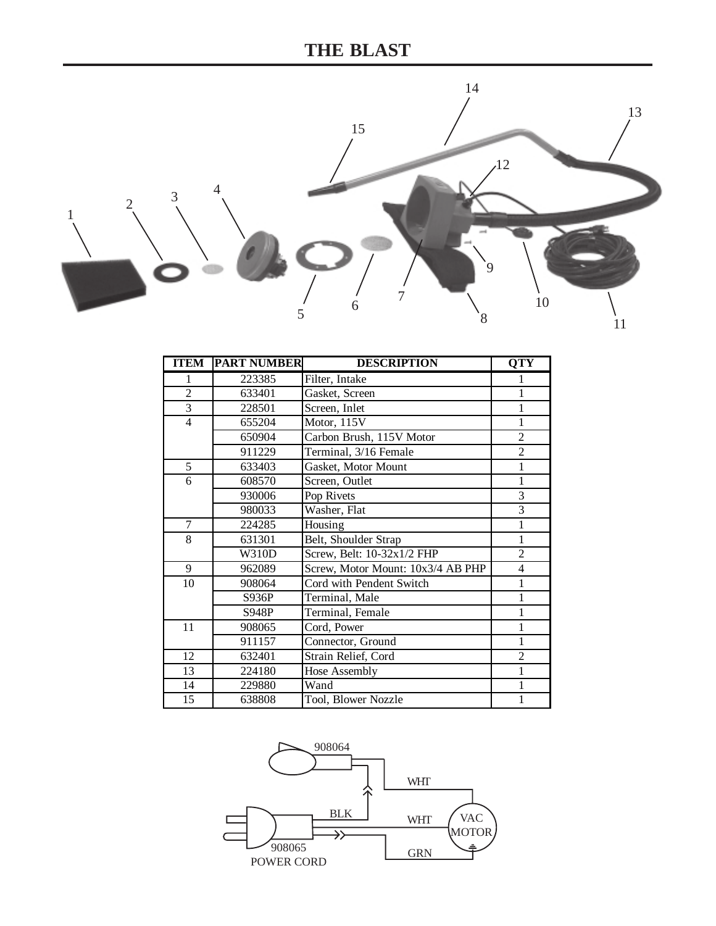

| <b>ITEM</b>    | <b>PART NUMBER</b> | <b>DESCRIPTION</b>                | <b>OTY</b>     |
|----------------|--------------------|-----------------------------------|----------------|
| 1              | 223385             | Filter, Intake                    |                |
| $\overline{2}$ | 633401             | Gasket, Screen                    |                |
| 3              | 228501             | Screen, Inlet                     | 1              |
| $\overline{4}$ | 655204             | Motor, 115V                       | 1              |
|                | 650904             | Carbon Brush, 115V Motor          | $\overline{c}$ |
|                | 911229             | Terminal, 3/16 Female             | $\overline{c}$ |
| 5              | 633403             | Gasket, Motor Mount               | 1              |
| 6              | 608570             | Screen, Outlet                    | 1              |
|                | 930006             | Pop Rivets                        | 3              |
|                | 980033             | Washer, Flat                      | 3              |
| 7              | 224285             | Housing                           | 1              |
| 8              | 631301             | Belt, Shoulder Strap              | 1              |
|                | <b>W310D</b>       | Screw, Belt: 10-32x1/2 FHP        | $\overline{c}$ |
| 9              | 962089             | Screw, Motor Mount: 10x3/4 AB PHP | $\overline{4}$ |
| 10             | 908064             | Cord with Pendent Switch          | 1              |
|                | S936P              | Terminal, Male                    |                |
|                | S948P              | Terminal, Female                  |                |
| 11             | 908065             | Cord, Power                       | 1              |
|                | 911157             | Connector, Ground                 | 1              |
| 12             | 632401             | Strain Relief, Cord               | $\overline{c}$ |
| 13             | 224180             | Hose Assembly                     | 1              |
| 14             | 229880             | Wand                              |                |
| 15             | 638808             | Tool, Blower Nozzle               | 1              |